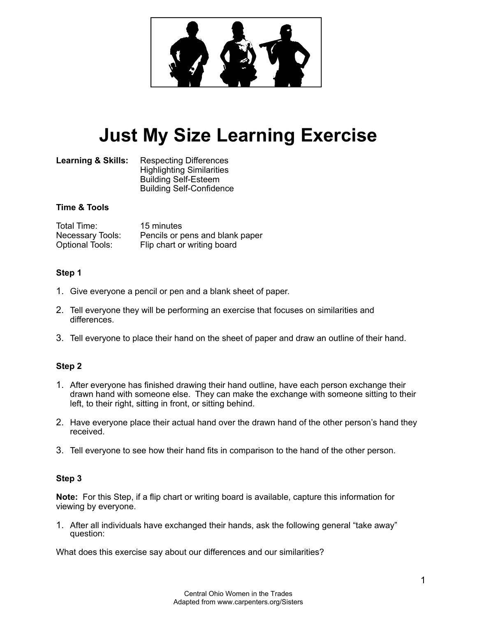

# **Just My Size Learning Exercise**

Learning & Skills: Respecting Differences Highlighting Similarities Building Self-Esteem Building Self-Confidence

## **Time & Tools**

| Total Time:             | 15 minutes                      |
|-------------------------|---------------------------------|
| <b>Necessary Tools:</b> | Pencils or pens and blank paper |
| <b>Optional Tools:</b>  | Flip chart or writing board     |

## **Step 1**

- 1. Give everyone a pencil or pen and a blank sheet of paper.
- 2. Tell everyone they will be performing an exercise that focuses on similarities and differences.
- 3. Tell everyone to place their hand on the sheet of paper and draw an outline of their hand.

## **Step 2**

- 1. After everyone has finished drawing their hand outline, have each person exchange their drawn hand with someone else. They can make the exchange with someone sitting to their left, to their right, sitting in front, or sitting behind.
- 2. Have everyone place their actual hand over the drawn hand of the other person's hand they received.
- 3. Tell everyone to see how their hand fits in comparison to the hand of the other person.

## **Step 3**

**Note:** For this Step, if a flip chart or writing board is available, capture this information for viewing by everyone.

1. After all individuals have exchanged their hands, ask the following general "take away" question:

What does this exercise say about our differences and our similarities?